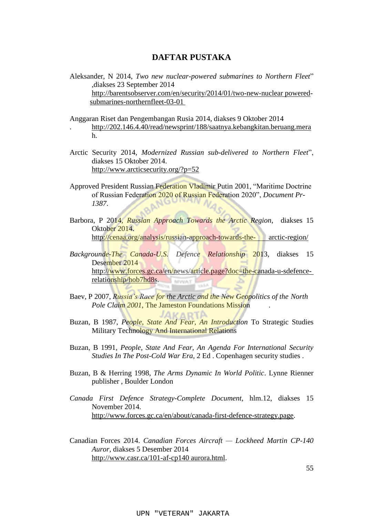## **DAFTAR PUSTAKA**

- Aleksander, N 2014, *Two new nuclear-powered submarines to Northern Fleet*" ,diakses 23 September 2014 http://barentsobserver.com/en/security/2014/01/two-new-nuclear powered submarines-northernfleet-03-01
- Anggaran Riset dan Pengembangan Rusia 2014, diakses 9 Oktober 2014 . <http://202.146.4.40/read/newsprint/188/saatnya.kebangkitan.beruang.mera> h.
- Arctic Security 2014, *Modernized Russian sub-delivered to Northern Fleet*", diakses 15 Oktober 2014. <http://www.arcticsecurity.org/?p=52>
- Approved President Russian Federation Vladimir Putin 2001, "Maritime Doctrine of Russian Federation 2020 of Russian Federation 2020", *Document Pr-1387*.
- Barbora, P 2014, *Russian Approach Towards the Arctic Region*, diakses 15 Oktober 2014. [http://cenaa.org/analysis/russian-approach-towards-the-](http://cenaa.org/analysis/russian-approach-towards-the-arctic-region/) arctic-region/
- *Backgrounde-The Canada-U.S. Defence Relationship* 2013, diakses 15 Desember 2014 [http://www.forces.gc.ca/en/news/article.page?doc=the-canada-u-sdefence](http://www.forces.gc.ca/en/news/article.page?doc=the-canada-u-s-defence-relationship/hob7hd8s)[relationship/hob7hd8s.](http://www.forces.gc.ca/en/news/article.page?doc=the-canada-u-s-defence-relationship/hob7hd8s)
- Baev, P 2007, *Russia's Race for the Arctic and the New Geopolitics of the North Pole Claim 2001*, The Jameston Foundations Mission .

JAKARTA

- Buzan, B 1987, *People, State And Fear, An Introduction* To Strategic Studies Military Technology And International Relations
- Buzan, B 1991*, People, State And Fear, An Agenda For International Security Studies In The Post-Cold War Era,* 2 Ed . Copenhagen security studies .
- Buzan, B & Herring 1998, *The Arms Dynamic In World Politic*. Lynne Rienner publisher , Boulder London
- *Canada First Defence Strategy-Complete Document*, hlm.12, diakses 15 November 2014. [http://www.forces.gc.ca/en/about/canada-first-defence-strategy.page.](http://www.forces.gc.ca/en/about/canada-first-defence-strategy.page)
- Canadian Forces 2014. *Canadian Forces Aircraft — Lockheed Martin CP-140 Auror,* diakses 5 Desember 2014 [http://www.casr.ca/101-af-cp140 aurora.html.](http://www.casr.ca/101-af-cp140%20aurora.html)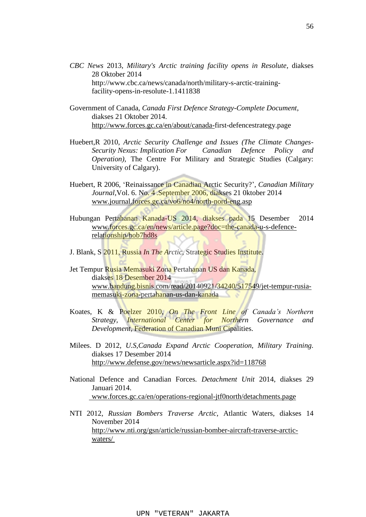- *CBC News* 2013, *Military's Arctic training facility opens in Resolute*, diakses 28 Oktober 2014 http://www.cbc.ca/news/canada/north/military-s-arctic-trainingfacility-opens-in-resolute-1.1411838
- Government of Canada, *Canada First Defence Strategy-Complete Document*, diakses 21 Oktober 2014. [http://www.forces.gc.ca/en/about/canada-f](http://www.forces.gc.ca/en/about/canada-)irst-defencestrategy.page
- Huebert,R 2010, *Arctic Security Challenge and Issues (The Climate Changes-Security Nexus: Implication For Canadian Defence Policy and Operation*), The Centre For Military and Strategic Studies (Calgary: University of Calgary).
- Huebert, R 2006, "Reinaissance in Canadian Arctic Security?", *Canadian Military Journal*,Vol. 6. No. 4 .September 2006, diakses 21 0ktober 2014 [www.journal.forces.gc.ca/vo6/no4/north-n](http://www.journal.forces.gc.ca/vo6/no4/north-)ord-eng.asp
- Hubungan Pertahanan Kanada-US 2014, diakses pada 15 Desember 2014 [www.forces.gc.ca/en/news/article.page?doc=the-canada-u-s-defence](http://www.forces.gc.ca/en/news/article.page?doc=the-canada-u-s-defence-relationship/hob7hd8s)[relationship/hob7hd8s](http://www.forces.gc.ca/en/news/article.page?doc=the-canada-u-s-defence-relationship/hob7hd8s)
- J. Blank, S 2011, Russia *In The Arctic,* Strategic Studies Institute.
- Jet Tempur Rusia Memasuki Zona Pertahanan US dan Kanada, diakses 18 Desember 2014 [www.bandung.bisnis.com/read/20140921/34240/517549/jet-tempur-rusia](http://www.bandung.bisnis.com/read/20140921/34240/517549/jet-tempur-rusia-memasuki-zona-pertahanan-us-dan-kanada)[memasuki-zona-pertahanan-us-dan-kanada](http://www.bandung.bisnis.com/read/20140921/34240/517549/jet-tempur-rusia-memasuki-zona-pertahanan-us-dan-kanada)
- Koates, K & Poelzer 2010, *On The Front Line of Canada's Northern Strategy, International Center for Northern Governance and Development*, Federation of Canadian Muni Cipalities.
- Milees. D 2012, *U.S,Canada Expand Arctic Cooperation, Military Training.*  diakses 17 Desember 2014 <http://www.defense.gov/news/newsarticle.aspx?id=118768>
- National Defence and Canadian Forces*. Detachment Unit* 2014, diakses 29 Januari 2014. www.forces.gc.ca/en/operations-regional-jtf0north/detachments.page
- NTI 2012, *Russian Bombers Traverse Arctic*, Atlantic Waters, diakses 14 November 2014 [http://www.nti.org/gsn/article/russian-bomber-aircraft-t](http://www.nti.org/gsn/article/russian-bomber-aircraft-)raverse-arcticwaters/